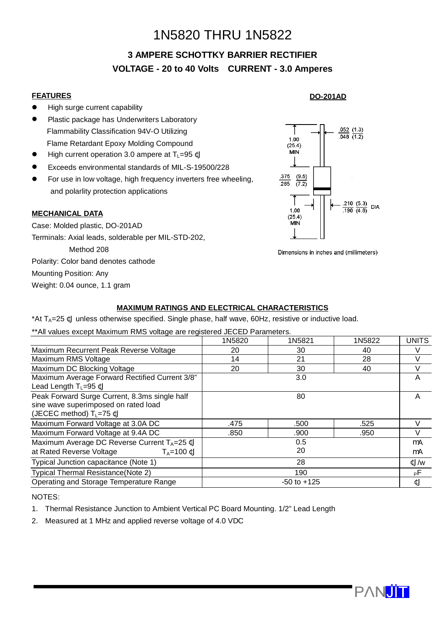# 1N5820 THRU 1N5822

# **3 AMPERE SCHOTTKY BARRIER RECTIFIER VOLTAGE - 20 to 40 Volts CURRENT - 3.0 Amperes**

#### **FEATURES**

- **•** High surge current capability
- **•** Plastic package has Underwriters Laboratory Flammability Classification 94V-O Utilizing Flame Retardant Epoxy Molding Compound
- $\bullet$  High current operation 3.0 ampere at T<sub>L</sub>=95 ¢J
- l Exceeds environmental standards of MIL-S-19500/228
- **•** For use in low voltage, high frequency inverters free wheeling, and polarlity protection applications

#### **MECHANICAL DATA**

Case: Molded plastic, DO-201AD Terminals: Axial leads, solderable per MIL-STD-202, Method 208 Polarity: Color band denotes cathode Mounting Position: Any Weight: 0.04 ounce, 1.1 gram

## **DO-201AD**



Dimensions in inches and (millimeters)

### **MAXIMUM RATINGS AND ELECTRICAL CHARACTERISTICS**

\*At  $T_A=25$   $C$  unless otherwise specified. Single phase, half wave, 60Hz, resistive or inductive load.

\*\*All values except Maximum RMS voltage are registered JECED Parameters.

|                                                                                                                      | 1N5820          | 1N5821 | 1N5822 | <b>UNITS</b> |
|----------------------------------------------------------------------------------------------------------------------|-----------------|--------|--------|--------------|
| Maximum Recurrent Peak Reverse Voltage                                                                               | 20              | 30     | 40     |              |
| Maximum RMS Voltage                                                                                                  | 14              | 21     | 28     |              |
| Maximum DC Blocking Voltage                                                                                          | 20              | 30     | 40     | v            |
| Maximum Average Forward Rectified Current 3/8"<br>Lead Length $T_L = 95 \text{ }\mathbb{C}$                          | 3.0             |        |        | A            |
| Peak Forward Surge Current, 8.3ms single half<br>sine wave superimposed on rated load<br>(JECEC method) $T_L$ =75 ¢J | 80              |        |        | A            |
| Maximum Forward Voltage at 3.0A DC                                                                                   | .475            | .500   | .525   |              |
| Maximum Forward Voltage at 9.4A DC                                                                                   | .850            | .900   | .950   |              |
| Maximum Average DC Reverse Current TA=25 ¢J                                                                          | 0.5             |        |        | mA           |
| at Rated Reverse Voltage<br>$T_A = 100 \text{ }\mathsf{C}$                                                           | 20              |        |        | mA           |
| Typical Junction capacitance (Note 1)                                                                                | 28              |        |        | $U/\psi$     |
| Typical Thermal Resistance(Note 2)                                                                                   | 190             |        |        | pЕ.          |
| Operating and Storage Temperature Range                                                                              | $-50$ to $+125$ |        |        | ¢J           |

#### NOTES:

- 1. Thermal Resistance Junction to Ambient Vertical PC Board Mounting. 1/2" Lead Length
- 2. Measured at 1 MHz and applied reverse voltage of 4.0 VDC